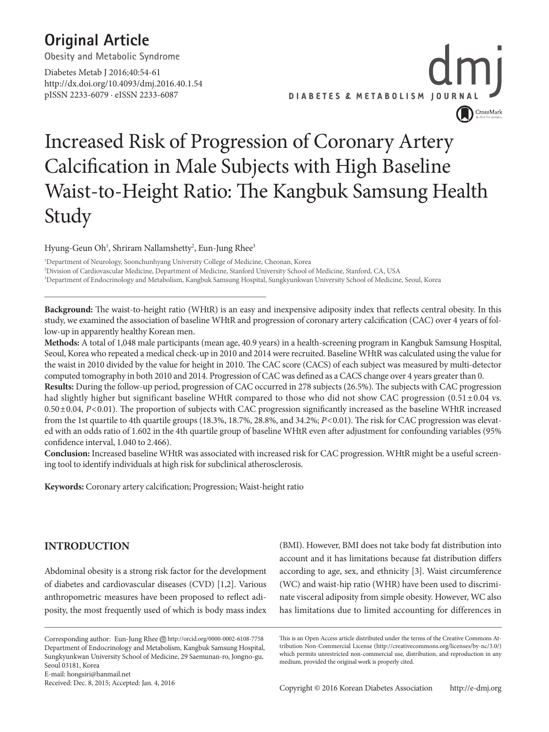### **Original Article**

**Obesity and Metabolic Syndrome**

Diabetes Metab J 2016;40:54-61 http://dx.doi.org/10.4093/dmj.2016.40.1.54 pISSN 2233-6079 · eISSN 2233-6087



## Increased Risk of Progression of Coronary Artery Calcification in Male Subjects with High Baseline Waist-to-Height Ratio: The Kangbuk Samsung Health Study

Hyung-Geun Oh<sup>1</sup>, Shriram Nallamshetty<sup>2</sup>, Eun-Jung Rhee<sup>3</sup>

1 Department of Neurology, Soonchunhyang University College of Medicine, Cheonan, Korea 2 Division of Cardiovascular Medicine, Department of Medicine, Stanford University School of Medicine, Stanford, CA, USA 3 Department of Endocrinology and Metabolism, Kangbuk Samsung Hospital, Sungkyunkwan University School of Medicine, Seoul, Korea

**Background:** The waist-to-height ratio (WHtR) is an easy and inexpensive adiposity index that reflects central obesity. In this study, we examined the association of baseline WHtR and progression of coronary artery calcification (CAC) over 4 years of follow-up in apparently healthy Korean men.

**Methods:** A total of 1,048 male participants (mean age, 40.9 years) in a health-screening program in Kangbuk Samsung Hospital, Seoul, Korea who repeated a medical check-up in 2010 and 2014 were recruited. Baseline WHtR was calculated using the value for the waist in 2010 divided by the value for height in 2010. The CAC score (CACS) of each subject was measured by multi-detector computed tomography in both 2010 and 2014. Progression of CAC was defined as a CACS change over 4 years greater than 0.

**Results:** During the follow-up period, progression of CAC occurred in 278 subjects (26.5%). The subjects with CAC progression had slightly higher but significant baseline WHtR compared to those who did not show CAC progression  $(0.51 \pm 0.04 \text{ vs.})$ 0.50±0.04, *P*<0.01). The proportion of subjects with CAC progression significantly increased as the baseline WHtR increased from the 1st quartile to 4th quartile groups (18.3%, 18.7%, 28.8%, and 34.2%; *P*<0.01). The risk for CAC progression was elevated with an odds ratio of 1.602 in the 4th quartile group of baseline WHtR even after adjustment for confounding variables (95% confidence interval, 1.040 to 2.466).

**Conclusion:** Increased baseline WHtR was associated with increased risk for CAC progression. WHtR might be a useful screening tool to identify individuals at high risk for subclinical atherosclerosis.

**Keywords:** Coronary artery calcification; Progression; Waist-height ratio

### **INTRODUCTION**

Abdominal obesity is a strong risk factor for the development of diabetes and cardiovascular diseases (CVD) [1,2]. Various anthropometric measures have been proposed to reflect adiposity, the most frequently used of which is body mass index

Corresponding author: Eun-Jung Rhee Dhttp://orcid.org/0000-0002-6108-7758 Department of Endocrinology and Metabolism, Kangbuk Samsung Hospital, Sungkyunkwan University School of Medicine, 29 Saemunan-ro, Jongno-gu, Seoul 03181, Korea

E-mail: hongsiri@hanmail.net Received: Dec. 8, 2015; Accepted: Jan. 4, 2016

(BMI). However, BMI does not take body fat distribution into account and it has limitations because fat distribution differs according to age, sex, and ethnicity [3]. Waist circumference (WC) and waist-hip ratio (WHR) have been used to discriminate visceral adiposity from simple obesity. However, WC also has limitations due to limited accounting for differences in

This is an Open Access article distributed under the terms of the Creative Commons Attribution Non-Commercial License (http://creativecommons.org/licenses/by-nc/3.0/) which permits unrestricted non-commercial use, distribution, and reproduction in any medium, provided the original work is properly cited.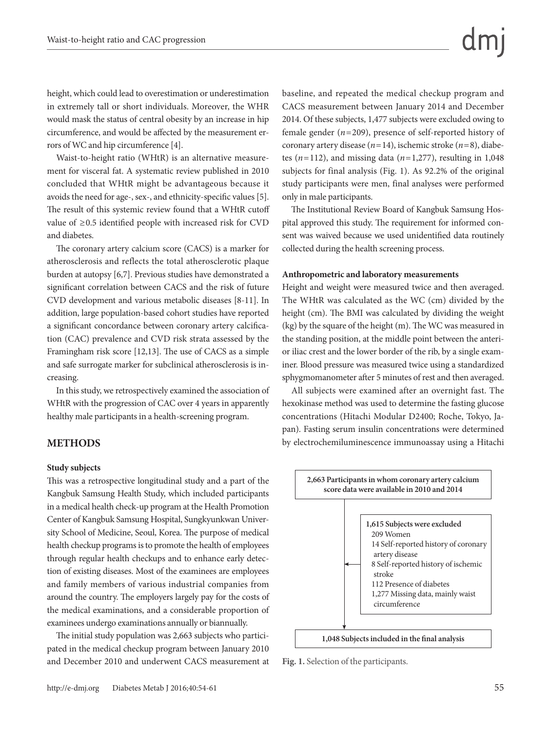height, which could lead to overestimation or underestimation in extremely tall or short individuals. Moreover, the WHR would mask the status of central obesity by an increase in hip circumference, and would be affected by the measurement errors of WC and hip circumference [4].

Waist-to-height ratio (WHtR) is an alternative measurement for visceral fat. A systematic review published in 2010 concluded that WHtR might be advantageous because it avoids the need for age-, sex-, and ethnicity-specific values [5]. The result of this systemic review found that a WHtR cutoff value of ≥0.5 identified people with increased risk for CVD and diabetes.

The coronary artery calcium score (CACS) is a marker for atherosclerosis and reflects the total atherosclerotic plaque burden at autopsy [6,7]. Previous studies have demonstrated a significant correlation between CACS and the risk of future CVD development and various metabolic diseases [8-11]. In addition, large population-based cohort studies have reported a significant concordance between coronary artery calcification (CAC) prevalence and CVD risk strata assessed by the Framingham risk score [12,13]. The use of CACS as a simple and safe surrogate marker for subclinical atherosclerosis is increasing.

In this study, we retrospectively examined the association of WHtR with the progression of CAC over 4 years in apparently healthy male participants in a health-screening program.

#### **METHODS**

#### **Study subjects**

This was a retrospective longitudinal study and a part of the Kangbuk Samsung Health Study, which included participants in a medical health check-up program at the Health Promotion Center of Kangbuk Samsung Hospital, Sungkyunkwan University School of Medicine, Seoul, Korea. The purpose of medical health checkup programs is to promote the health of employees through regular health checkups and to enhance early detection of existing diseases. Most of the examinees are employees and family members of various industrial companies from around the country. The employers largely pay for the costs of the medical examinations, and a considerable proportion of examinees undergo examinations annually or biannually.

The initial study population was 2,663 subjects who participated in the medical checkup program between January 2010 and December 2010 and underwent CACS measurement at baseline, and repeated the medical checkup program and CACS measurement between January 2014 and December 2014. Of these subjects, 1,477 subjects were excluded owing to female gender (*n*=209), presence of self-reported history of coronary artery disease (*n*=14), ischemic stroke (*n*=8), diabetes  $(n=112)$ , and missing data  $(n=1,277)$ , resulting in 1,048 subjects for final analysis (Fig. 1). As 92.2% of the original study participants were men, final analyses were performed only in male participants.

The Institutional Review Board of Kangbuk Samsung Hospital approved this study. The requirement for informed consent was waived because we used unidentified data routinely collected during the health screening process.

#### **Anthropometric and laboratory measurements**

Height and weight were measured twice and then averaged. The WHtR was calculated as the WC (cm) divided by the height (cm). The BMI was calculated by dividing the weight (kg) by the square of the height (m). The WC was measured in the standing position, at the middle point between the anterior iliac crest and the lower border of the rib, by a single examiner. Blood pressure was measured twice using a standardized sphygmomanometer after 5 minutes of rest and then averaged.

All subjects were examined after an overnight fast. The hexokinase method was used to determine the fasting glucose concentrations (Hitachi Modular D2400; Roche, Tokyo, Japan). Fasting serum insulin concentrations were determined by electrochemiluminescence immunoassay using a Hitachi



**Fig. 1.** Selection of the participants.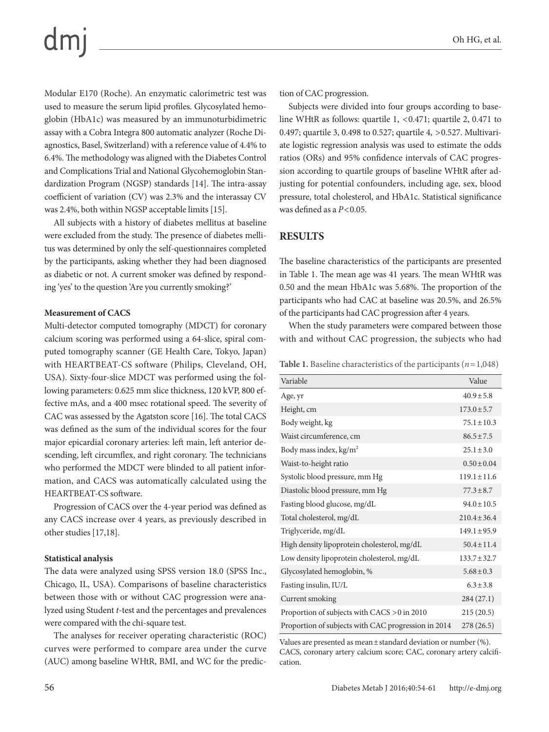Modular E170 (Roche). An enzymatic calorimetric test was used to measure the serum lipid profiles. Glycosylated hemoglobin (HbA1c) was measured by an immunoturbidimetric assay with a Cobra Integra 800 automatic analyzer (Roche Diagnostics, Basel, Switzerland) with a reference value of 4.4% to 6.4%. The methodology was aligned with the Diabetes Control and Complications Trial and National Glycohemoglobin Standardization Program (NGSP) standards [14]. The intra-assay coefficient of variation (CV) was 2.3% and the interassay CV was 2.4%, both within NGSP acceptable limits [15].

All subjects with a history of diabetes mellitus at baseline were excluded from the study. The presence of diabetes mellitus was determined by only the self-questionnaires completed by the participants, asking whether they had been diagnosed as diabetic or not. A current smoker was defined by responding 'yes' to the question 'Are you currently smoking?'

#### **Measurement of CACS**

Multi-detector computed tomography (MDCT) for coronary calcium scoring was performed using a 64-slice, spiral computed tomography scanner (GE Health Care, Tokyo, Japan) with HEARTBEAT-CS software (Philips, Cleveland, OH, USA). Sixty-four-slice MDCT was performed using the following parameters: 0.625 mm slice thickness, 120 kVP, 800 effective mAs, and a 400 msec rotational speed. The severity of CAC was assessed by the Agatston score [16]. The total CACS was defined as the sum of the individual scores for the four major epicardial coronary arteries: left main, left anterior descending, left circumflex, and right coronary. The technicians who performed the MDCT were blinded to all patient information, and CACS was automatically calculated using the HEARTBEAT-CS software.

Progression of CACS over the 4-year period was defined as any CACS increase over 4 years, as previously described in other studies [17,18].

#### **Statistical analysis**

The data were analyzed using SPSS version 18.0 (SPSS Inc., Chicago, IL, USA). Comparisons of baseline characteristics between those with or without CAC progression were analyzed using Student *t*-test and the percentages and prevalences were compared with the chi-square test.

The analyses for receiver operating characteristic (ROC) curves were performed to compare area under the curve (AUC) among baseline WHtR, BMI, and WC for the prediction of CAC progression.

Subjects were divided into four groups according to baseline WHtR as follows: quartile 1, <0.471; quartile 2, 0.471 to 0.497; quartile 3, 0.498 to 0.527; quartile 4, >0.527. Multivariate logistic regression analysis was used to estimate the odds ratios (ORs) and 95% confidence intervals of CAC progression according to quartile groups of baseline WHtR after adjusting for potential confounders, including age, sex, blood pressure, total cholesterol, and HbA1c. Statistical significance was defined as a *P*<0.05.

#### **RESULTS**

The baseline characteristics of the participants are presented in Table 1. The mean age was 41 years. The mean WHtR was 0.50 and the mean HbA1c was 5.68%. The proportion of the participants who had CAC at baseline was 20.5%, and 26.5% of the participants had CAC progression after 4 years.

When the study parameters were compared between those with and without CAC progression, the subjects who had

**Table 1.** Baseline characteristics of the participants (*n*=1,048)

| Variable                                            | Value            |
|-----------------------------------------------------|------------------|
| Age, yr                                             | $40.9 \pm 5.8$   |
| Height, cm                                          | $173.0 \pm 5.7$  |
| Body weight, kg                                     | $75.1 \pm 10.3$  |
| Waist circumference, cm                             | $86.5 \pm 7.5$   |
| Body mass index, $kg/m2$                            | $25.1 \pm 3.0$   |
| Waist-to-height ratio                               | $0.50 \pm 0.04$  |
| Systolic blood pressure, mm Hg                      | $119.1 \pm 11.6$ |
| Diastolic blood pressure, mm Hg                     | $77.3 \pm 8.7$   |
| Fasting blood glucose, mg/dL                        | $94.0 \pm 10.5$  |
| Total cholesterol, mg/dL                            | $210.4 \pm 36.4$ |
| Triglyceride, mg/dL                                 | $149.1 \pm 95.9$ |
| High density lipoprotein cholesterol, mg/dL         | $50.4 \pm 11.4$  |
| Low density lipoprotein cholesterol, mg/dL          | $133.7 \pm 32.7$ |
| Glycosylated hemoglobin, %                          | $5.68 \pm 0.3$   |
| Fasting insulin, IU/L                               | $6.3 \pm 3.8$    |
| Current smoking                                     | 284(27.1)        |
| Proportion of subjects with CACS > 0 in 2010        | 215(20.5)        |
| Proportion of subjects with CAC progression in 2014 | 278(26.5)        |

Values are presented as mean±standard deviation or number (%). CACS, coronary artery calcium score; CAC, coronary artery calcification.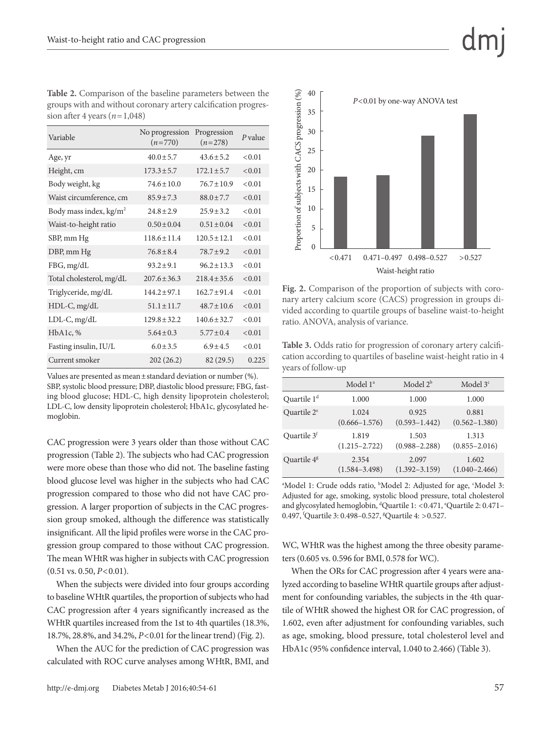| <b>Table 2.</b> Comparison of the baseline parameters between the |
|-------------------------------------------------------------------|
| groups with and without coronary artery calcification progres-    |
| sion after 4 years $(n=1,048)$                                    |

| Variable                           | No progression<br>$(n=770)$ | Progression<br>$(n=278)$ | $P$ value |
|------------------------------------|-----------------------------|--------------------------|-----------|
| Age, yr                            | $40.0 \pm 5.7$              | $43.6 \pm 5.2$           | < 0.01    |
| Height, cm                         | $173.3 \pm 5.7$             | $172.1 \pm 5.7$          | < 0.01    |
| Body weight, kg                    | $74.6 + 10.0$               | $76.7 + 10.9$            | < 0.01    |
| Waist circumference, cm            | $85.9 \pm 7.3$              | $88.0 \pm 7.7$           | < 0.01    |
| Body mass index, kg/m <sup>2</sup> | $24.8 \pm 2.9$              | $25.9 \pm 3.2$           | < 0.01    |
| Waist-to-height ratio              | $0.50 \pm 0.04$             | $0.51 \pm 0.04$          | < 0.01    |
| SBP, mm Hg                         | $118.6 \pm 11.4$            | $120.5 \pm 12.1$         | < 0.01    |
| DBP, mm Hg                         | $76.8 \pm 8.4$              | $78.7 \pm 9.2$           | < 0.01    |
| FBG, mg/dL                         | $93.2 \pm 9.1$              | $96.2 \pm 13.3$          | < 0.01    |
| Total cholesterol, mg/dL           | $207.6 \pm 36.3$            | $218.4 \pm 35.6$         | < 0.01    |
| Triglyceride, mg/dL                | $144.2 \pm 97.1$            | $162.7 \pm 91.4$         | < 0.01    |
| $HDL-C, mg/dL$                     | $51.1 \pm 11.7$             | $48.7 \pm 10.6$          | < 0.01    |
| LDL-C, mg/dL                       | $129.8 \pm 32.2$            | $140.6 \pm 32.7$         | < 0.01    |
| HbA1c, %                           | $5.64 \pm 0.3$              | $5.77 \pm 0.4$           | < 0.01    |
| Fasting insulin, IU/L              | $6.0 \pm 3.5$               | $6.9 \pm 4.5$            | < 0.01    |
| Current smoker                     | 202(26.2)                   | 82(29.5)                 | 0.225     |

Values are presented as mean±standard deviation or number (%).

SBP, systolic blood pressure; DBP, diastolic blood pressure; FBG, fasting blood glucose; HDL-C, high density lipoprotein cholesterol; LDL-C, low density lipoprotein cholesterol; HbA1c, glycosylated hemoglobin.

CAC progression were 3 years older than those without CAC progression (Table 2). The subjects who had CAC progression were more obese than those who did not. The baseline fasting blood glucose level was higher in the subjects who had CAC progression compared to those who did not have CAC progression. A larger proportion of subjects in the CAC progression group smoked, although the difference was statistically insignificant. All the lipid profiles were worse in the CAC progression group compared to those without CAC progression. The mean WHtR was higher in subjects with CAC progression (0.51 vs. 0.50, *P*<0.01).

When the subjects were divided into four groups according to baseline WHtR quartiles, the proportion of subjects who had CAC progression after 4 years significantly increased as the WHtR quartiles increased from the 1st to 4th quartiles (18.3%, 18.7%, 28.8%, and 34.2%, *P*<0.01 for the linear trend) (Fig. 2).

When the AUC for the prediction of CAC progression was calculated with ROC curve analyses among WHtR, BMI, and





1.602, even after adjustment for confounding variables, such as age, smoking, blood pressure, total cholesterol level and HbA1c (95% confidence interval, 1.040 to 2.466) (Table 3).



**Fig. 2.** Comparison of the proportion of subjects with coronary artery calcium score (CACS) progression in groups divided according to quartile groups of baseline waist-to-height ratio. ANOVA, analysis of variance.

**Table 3.** Odds ratio for progression of coronary artery calcification according to quartiles of baseline waist-height ratio in 4 years of follow-up

|                         | Model 1 <sup>ª</sup> | Model $2^b$       | Model $3c$        |
|-------------------------|----------------------|-------------------|-------------------|
| Quartile 1 <sup>d</sup> | 1.000                | 1.000             | 1.000             |
| Quartile 2 <sup>e</sup> | 1.024                | 0.925             | 0.881             |
|                         | $(0.666 - 1.576)$    | $(0.593 - 1.442)$ | $(0.562 - 1.380)$ |
| Quartile 3 <sup>f</sup> | 1.819                | 1.503             | 1.313             |
|                         | $(1.215 - 2.722)$    | $(0.988 - 2.288)$ | $(0.855 - 2.016)$ |
| Quartile $4g$           | 2.354                | 2.097             | 1.602             |
|                         | $(1.584 - 3.498)$    | $(1.392 - 3.159)$ | $(1.040 - 2.466)$ |

<sup>a</sup>Model 1: Crude odds ratio, <sup>b</sup>Model 2: Adjusted for age, <sup>c</sup>Model 3: Adjusted for age, smoking, systolic blood pressure, total cholesterol and glycosylated hemoglobin, dQuartile 1: <0.471, eQuartile 2: 0.471-

0.497, <sup>f</sup>Quartile 3: 0.498-0.527, <sup>g</sup>Quartile 4: > 0.527.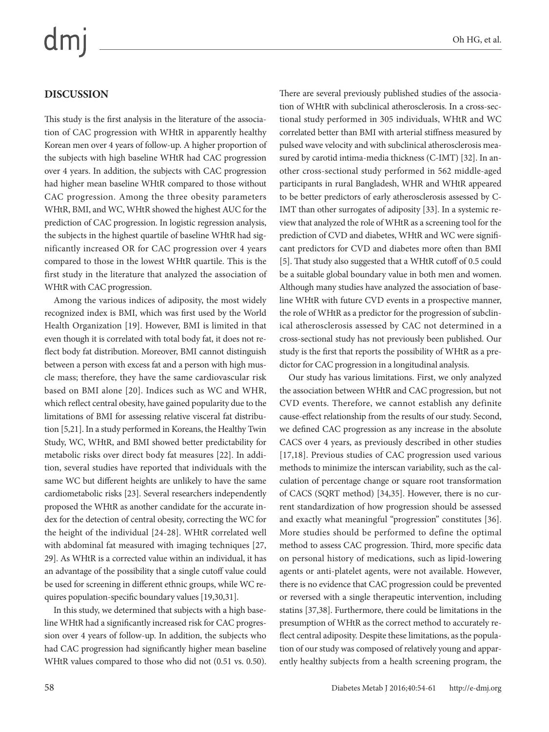## $dmj$

#### **DISCUSSION**

This study is the first analysis in the literature of the association of CAC progression with WHtR in apparently healthy Korean men over 4 years of follow-up. A higher proportion of the subjects with high baseline WHtR had CAC progression over 4 years. In addition, the subjects with CAC progression had higher mean baseline WHtR compared to those without CAC progression. Among the three obesity parameters WHtR, BMI, and WC, WHtR showed the highest AUC for the prediction of CAC progression. In logistic regression analysis, the subjects in the highest quartile of baseline WHtR had significantly increased OR for CAC progression over 4 years compared to those in the lowest WHtR quartile. This is the first study in the literature that analyzed the association of WHtR with CAC progression.

Among the various indices of adiposity, the most widely recognized index is BMI, which was first used by the World Health Organization [19]. However, BMI is limited in that even though it is correlated with total body fat, it does not reflect body fat distribution. Moreover, BMI cannot distinguish between a person with excess fat and a person with high muscle mass; therefore, they have the same cardiovascular risk based on BMI alone [20]. Indices such as WC and WHR, which reflect central obesity, have gained popularity due to the limitations of BMI for assessing relative visceral fat distribution [5,21]. In a study performed in Koreans, the Healthy Twin Study, WC, WHtR, and BMI showed better predictability for metabolic risks over direct body fat measures [22]. In addition, several studies have reported that individuals with the same WC but different heights are unlikely to have the same cardiometabolic risks [23]. Several researchers independently proposed the WHtR as another candidate for the accurate index for the detection of central obesity, correcting the WC for the height of the individual [24-28]. WHtR correlated well with abdominal fat measured with imaging techniques [27, 29]. As WHtR is a corrected value within an individual, it has an advantage of the possibility that a single cutoff value could be used for screening in different ethnic groups, while WC requires population-specific boundary values [19,30,31].

In this study, we determined that subjects with a high baseline WHtR had a significantly increased risk for CAC progression over 4 years of follow-up. In addition, the subjects who had CAC progression had significantly higher mean baseline WHtR values compared to those who did not (0.51 vs. 0.50). There are several previously published studies of the association of WHtR with subclinical atherosclerosis. In a cross-sectional study performed in 305 individuals, WHtR and WC correlated better than BMI with arterial stiffness measured by pulsed wave velocity and with subclinical atherosclerosis measured by carotid intima-media thickness (C-IMT) [32]. In another cross-sectional study performed in 562 middle-aged participants in rural Bangladesh, WHR and WHtR appeared to be better predictors of early atherosclerosis assessed by C-IMT than other surrogates of adiposity [33]. In a systemic review that analyzed the role of WHtR as a screening tool for the prediction of CVD and diabetes, WHtR and WC were significant predictors for CVD and diabetes more often than BMI [5]. That study also suggested that a WHtR cutoff of 0.5 could be a suitable global boundary value in both men and women. Although many studies have analyzed the association of baseline WHtR with future CVD events in a prospective manner, the role of WHtR as a predictor for the progression of subclinical atherosclerosis assessed by CAC not determined in a cross-sectional study has not previously been published. Our study is the first that reports the possibility of WHtR as a predictor for CAC progression in a longitudinal analysis.

Our study has various limitations. First, we only analyzed the association between WHtR and CAC progression, but not CVD events. Therefore, we cannot establish any definite cause-effect relationship from the results of our study. Second, we defined CAC progression as any increase in the absolute CACS over 4 years, as previously described in other studies [17,18]. Previous studies of CAC progression used various methods to minimize the interscan variability, such as the calculation of percentage change or square root transformation of CACS (SQRT method) [34,35]. However, there is no current standardization of how progression should be assessed and exactly what meaningful "progression" constitutes [36]. More studies should be performed to define the optimal method to assess CAC progression. Third, more specific data on personal history of medications, such as lipid-lowering agents or anti-platelet agents, were not available. However, there is no evidence that CAC progression could be prevented or reversed with a single therapeutic intervention, including statins [37,38]. Furthermore, there could be limitations in the presumption of WHtR as the correct method to accurately reflect central adiposity. Despite these limitations, as the population of our study was composed of relatively young and apparently healthy subjects from a health screening program, the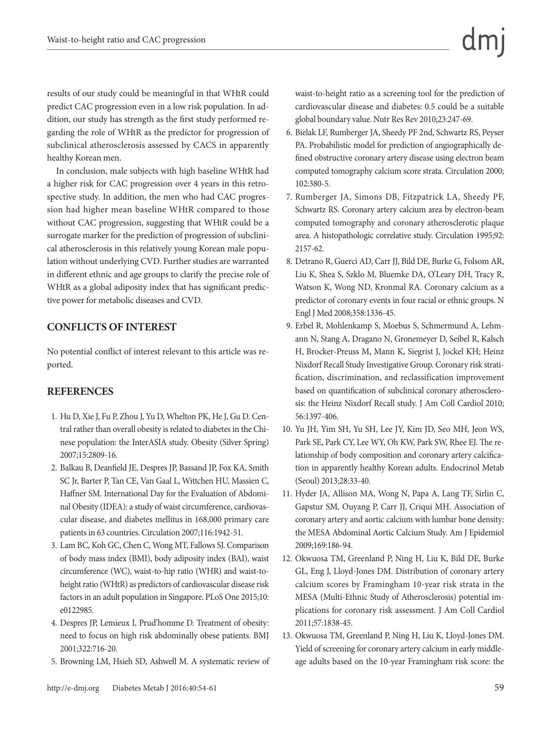results of our study could be meaningful in that WHtR could predict CAC progression even in a low risk population. In addition, our study has strength as the first study performed regarding the role of WHtR as the predictor for progression of subclinical atherosclerosis assessed by CACS in apparently healthy Korean men.

In conclusion, male subjects with high baseline WHtR had a higher risk for CAC progression over 4 years in this retrospective study. In addition, the men who had CAC progression had higher mean baseline WHtR compared to those without CAC progression, suggesting that WHtR could be a surrogate marker for the prediction of progression of subclinical atherosclerosis in this relatively young Korean male population without underlying CVD. Further studies are warranted in different ethnic and age groups to clarify the precise role of WHtR as a global adiposity index that has significant predictive power for metabolic diseases and CVD.

#### **CONFLICTS OF INTEREST**

No potential conflict of interest relevant to this article was reported.

#### **REFERENCES**

- 1. Hu D, Xie J, Fu P, Zhou J, Yu D, Whelton PK, He J, Gu D. Central rather than overall obesity is related to diabetes in the Chinese population: the InterASIA study. Obesity (Silver Spring) 2007;15:2809-16.
- 2. Balkau B, Deanfield JE, Despres JP, Bassand JP, Fox KA, Smith SC Jr, Barter P, Tan CE, Van Gaal L, Wittchen HU, Massien C, Haffner SM. International Day for the Evaluation of Abdominal Obesity (IDEA): a study of waist circumference, cardiovascular disease, and diabetes mellitus in 168,000 primary care patients in 63 countries. Circulation 2007;116:1942-51.
- 3. Lam BC, Koh GC, Chen C, Wong MT, Fallows SJ. Comparison of body mass index (BMI), body adiposity index (BAI), waist circumference (WC), waist-to-hip ratio (WHR) and waist-toheight ratio (WHtR) as predictors of cardiovascular disease risk factors in an adult population in Singapore. PLoS One 2015;10: e0122985.
- 4. Despres JP, Lemieux I, Prud'homme D. Treatment of obesity: need to focus on high risk abdominally obese patients. BMJ 2001;322:716-20.
- 5. Browning LM, Hsieh SD, Ashwell M. A systematic review of

waist-to-height ratio as a screening tool for the prediction of cardiovascular disease and diabetes: 0.5 could be a suitable global boundary value. Nutr Res Rev 2010;23:247-69.

- 6. Bielak LF, Rumberger JA, Sheedy PF 2nd, Schwartz RS, Peyser PA. Probabilistic model for prediction of angiographically defined obstructive coronary artery disease using electron beam computed tomography calcium score strata. Circulation 2000; 102:380-5.
- 7. Rumberger JA, Simons DB, Fitzpatrick LA, Sheedy PF, Schwartz RS. Coronary artery calcium area by electron-beam computed tomography and coronary atherosclerotic plaque area. A histopathologic correlative study. Circulation 1995;92: 2157-62.
- 8. Detrano R, Guerci AD, Carr JJ, Bild DE, Burke G, Folsom AR, Liu K, Shea S, Szklo M, Bluemke DA, O'Leary DH, Tracy R, Watson K, Wong ND, Kronmal RA. Coronary calcium as a predictor of coronary events in four racial or ethnic groups. N Engl J Med 2008;358:1336-45.
- 9. Erbel R, Mohlenkamp S, Moebus S, Schmermund A, Lehmann N, Stang A, Dragano N, Gronemeyer D, Seibel R, Kalsch H, Brocker-Preuss M, Mann K, Siegrist J, Jockel KH; Heinz Nixdorf Recall Study Investigative Group. Coronary risk stratification, discrimination, and reclassification improvement based on quantification of subclinical coronary atherosclerosis: the Heinz Nixdorf Recall study. J Am Coll Cardiol 2010; 56:1397-406.
- 10. Yu JH, Yim SH, Yu SH, Lee JY, Kim JD, Seo MH, Jeon WS, Park SE, Park CY, Lee WY, Oh KW, Park SW, Rhee EJ. The relationship of body composition and coronary artery calcification in apparently healthy Korean adults. Endocrinol Metab (Seoul) 2013;28:33-40.
- 11. Hyder JA, Allison MA, Wong N, Papa A, Lang TF, Sirlin C, Gapstur SM, Ouyang P, Carr JJ, Criqui MH. Association of coronary artery and aortic calcium with lumbar bone density: the MESA Abdominal Aortic Calcium Study. Am J Epidemiol 2009;169:186-94.
- 12. Okwuosa TM, Greenland P, Ning H, Liu K, Bild DE, Burke GL, Eng J, Lloyd-Jones DM. Distribution of coronary artery calcium scores by Framingham 10-year risk strata in the MESA (Multi-Ethnic Study of Atherosclerosis) potential implications for coronary risk assessment. J Am Coll Cardiol 2011;57:1838-45.
- 13. Okwuosa TM, Greenland P, Ning H, Liu K, Lloyd-Jones DM. Yield of screening for coronary artery calcium in early middleage adults based on the 10-year Framingham risk score: the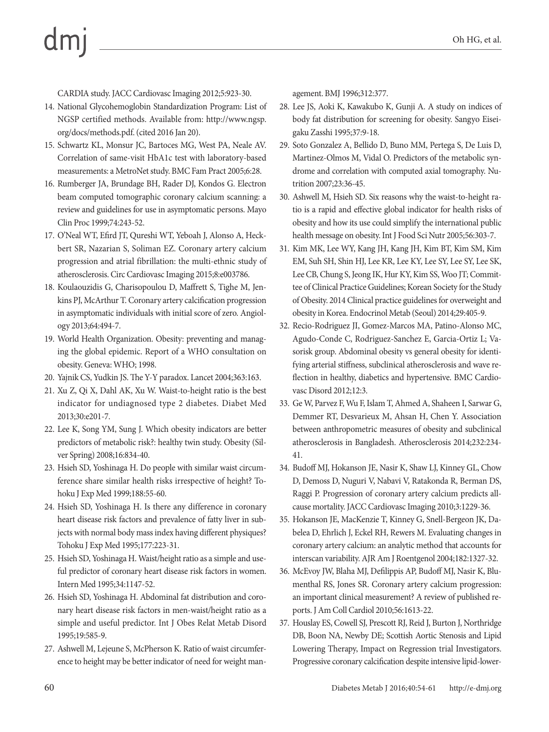# $dm$

CARDIA study. JACC Cardiovasc Imaging 2012;5:923-30.

- 14. National Glycohemoglobin Standardization Program: List of NGSP certified methods. Available from: http://www.ngsp. org/docs/methods.pdf. (cited 2016 Jan 20).
- 15. Schwartz KL, Monsur JC, Bartoces MG, West PA, Neale AV. Correlation of same-visit HbA1c test with laboratory-based measurements: a MetroNet study. BMC Fam Pract 2005;6:28.
- 16. Rumberger JA, Brundage BH, Rader DJ, Kondos G. Electron beam computed tomographic coronary calcium scanning: a review and guidelines for use in asymptomatic persons. Mayo Clin Proc 1999;74:243-52.
- 17. O'Neal WT, Efird JT, Qureshi WT, Yeboah J, Alonso A, Heckbert SR, Nazarian S, Soliman EZ. Coronary artery calcium progression and atrial fibrillation: the multi-ethnic study of atherosclerosis. Circ Cardiovasc Imaging 2015;8:e003786.
- 18. Koulaouzidis G, Charisopoulou D, Maffrett S, Tighe M, Jenkins PJ, McArthur T. Coronary artery calcification progression in asymptomatic individuals with initial score of zero. Angiology 2013;64:494-7.
- 19. World Health Organization. Obesity: preventing and managing the global epidemic. Report of a WHO consultation on obesity. Geneva: WHO; 1998.
- 20. Yajnik CS, Yudkin JS. The Y-Y paradox. Lancet 2004;363:163.
- 21. Xu Z, Qi X, Dahl AK, Xu W. Waist-to-height ratio is the best indicator for undiagnosed type 2 diabetes. Diabet Med 2013;30:e201-7.
- 22. Lee K, Song YM, Sung J. Which obesity indicators are better predictors of metabolic risk?: healthy twin study. Obesity (Silver Spring) 2008;16:834-40.
- 23. Hsieh SD, Yoshinaga H. Do people with similar waist circumference share similar health risks irrespective of height? Tohoku J Exp Med 1999;188:55-60.
- 24. Hsieh SD, Yoshinaga H. Is there any difference in coronary heart disease risk factors and prevalence of fatty liver in subjects with normal body mass index having different physiques? Tohoku J Exp Med 1995;177:223-31.
- 25. Hsieh SD, Yoshinaga H. Waist/height ratio as a simple and useful predictor of coronary heart disease risk factors in women. Intern Med 1995;34:1147-52.
- 26. Hsieh SD, Yoshinaga H. Abdominal fat distribution and coronary heart disease risk factors in men-waist/height ratio as a simple and useful predictor. Int J Obes Relat Metab Disord 1995;19:585-9.
- 27. Ashwell M, Lejeune S, McPherson K. Ratio of waist circumference to height may be better indicator of need for weight man-

agement. BMJ 1996;312:377.

- 28. Lee JS, Aoki K, Kawakubo K, Gunji A. A study on indices of body fat distribution for screening for obesity. Sangyo Eiseigaku Zasshi 1995;37:9-18.
- 29. Soto Gonzalez A, Bellido D, Buno MM, Pertega S, De Luis D, Martinez-Olmos M, Vidal O. Predictors of the metabolic syndrome and correlation with computed axial tomography. Nutrition 2007;23:36-45.
- 30. Ashwell M, Hsieh SD. Six reasons why the waist-to-height ratio is a rapid and effective global indicator for health risks of obesity and how its use could simplify the international public health message on obesity. Int J Food Sci Nutr 2005;56:303-7.
- 31. Kim MK, Lee WY, Kang JH, Kang JH, Kim BT, Kim SM, Kim EM, Suh SH, Shin HJ, Lee KR, Lee KY, Lee SY, Lee SY, Lee SK, Lee CB, Chung S, Jeong IK, Hur KY, Kim SS, Woo JT; Committee of Clinical Practice Guidelines; Korean Society for the Study of Obesity. 2014 Clinical practice guidelines for overweight and obesity in Korea. Endocrinol Metab (Seoul) 2014;29:405-9.
- 32. Recio-Rodriguez JI, Gomez-Marcos MA, Patino-Alonso MC, Agudo-Conde C, Rodriguez-Sanchez E, Garcia-Ortiz L; Vasorisk group. Abdominal obesity vs general obesity for identifying arterial stiffness, subclinical atherosclerosis and wave reflection in healthy, diabetics and hypertensive. BMC Cardiovasc Disord 2012;12:3.
- 33. Ge W, Parvez F, Wu F, Islam T, Ahmed A, Shaheen I, Sarwar G, Demmer RT, Desvarieux M, Ahsan H, Chen Y. Association between anthropometric measures of obesity and subclinical atherosclerosis in Bangladesh. Atherosclerosis 2014;232:234- 41.
- 34. Budoff MJ, Hokanson JE, Nasir K, Shaw LJ, Kinney GL, Chow D, Demoss D, Nuguri V, Nabavi V, Ratakonda R, Berman DS, Raggi P. Progression of coronary artery calcium predicts allcause mortality. JACC Cardiovasc Imaging 2010;3:1229-36.
- 35. Hokanson JE, MacKenzie T, Kinney G, Snell-Bergeon JK, Dabelea D, Ehrlich J, Eckel RH, Rewers M. Evaluating changes in coronary artery calcium: an analytic method that accounts for interscan variability. AJR Am J Roentgenol 2004;182:1327-32.
- 36. McEvoy JW, Blaha MJ, Defilippis AP, Budoff MJ, Nasir K, Blumenthal RS, Jones SR. Coronary artery calcium progression: an important clinical measurement? A review of published reports. J Am Coll Cardiol 2010;56:1613-22.
- 37. Houslay ES, Cowell SJ, Prescott RJ, Reid J, Burton J, Northridge DB, Boon NA, Newby DE; Scottish Aortic Stenosis and Lipid Lowering Therapy, Impact on Regression trial Investigators. Progressive coronary calcification despite intensive lipid-lower-